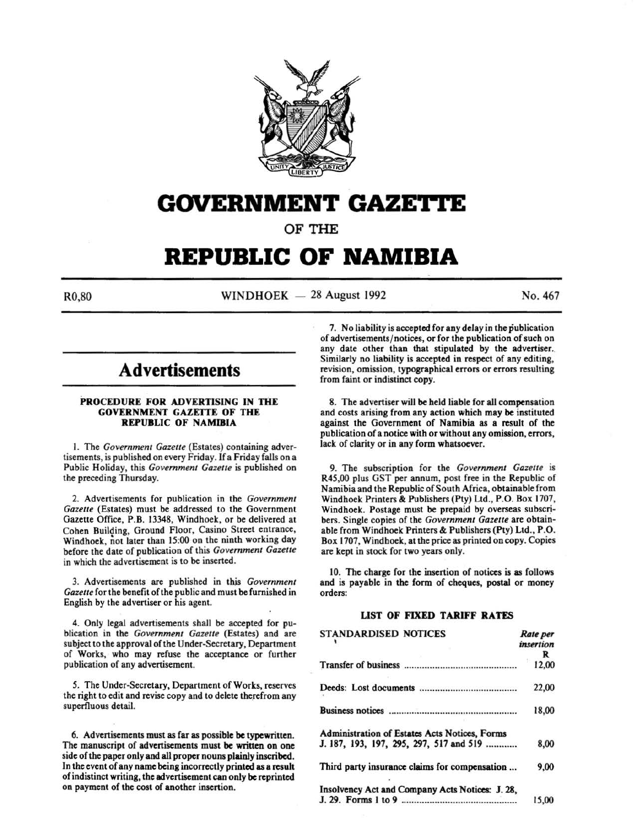

## **GOVERNMENT GAZETTE**

OF THE

# **REPUBLIC OF NAMIBIA**

 $R0.80$  WINDHOEK - 28 August 1992 No. 467

### **Advertisements**

#### PROCEDURE FOR ADVERTISING IN THE GOVERNMENT GAZETTE OF THE REPUBLIC OF NAMIBIA

1. The *Government Gazette* (Estates) containing advertisements, is published on every Friday. If a Friday falls on a Public Holiday, this *Government Gazette* is published on the preceding Thursday.

2. Advertisements for publication in the *Government Gazette* (Estates) must be addressed to the Government Gazette Office, P.B. 13348, Windhoek, or be delivered at Cohen Building, Ground Floor, Casino Street entrance, Windhoek, not later than 15:00 on the ninth working day before the date of publication of this *Government Gazette*  in which the advertisement is to be inserted.

3. Advertisements are published in this *Government*  Gazette for the benefit of the public and must be furnished in English by the advertiser or his agent.

4. Only legal advertisements shall be accepted for publication in the *Government Gazelle* (Estates) and are subject to the approval of the Under-Secretary, Department of Works, who may refuse the acceptance or further publication of any advertisement.

*5.* The Under-Secretary, Department of Works, reserves the right to edit and revise copy and to delete therefrom any superfluous detail.

6. Advertisements must as far as possible be typewritten. The manuscript of advertisements must be written on one side of the paper only and all proper nouns plainly inscribed. In the event of any name being incorrectly printed as a result of indistinct writing, the advertisement can only be reprinted on payment of the cost of another insertion.

7. No liability is accepted for any delay in the publication of advertisements/notices, or for the publication of such on any date other than that stipulated by the advertiser. Similarly no liability is accepted in respect of any editing, revision, omission, typographical errors or errors resulting from faint or indistinct copy.

8. The advertiser will be held liable for all compensation and costs arising from any action which may be instituted against the Government of Namibia as a result of the publication of a notice with or without any omission, errors, lack of clarity or in any form whatsoever.

9. The subscription for the *Government Gazette* is R45,00 plus OST per annum, post free in the Republic of Namibia and the Republic of South Africa, obtainable from Windhoek Printers & Publishers (Pty) Ltd., P.O. Box 1707, Windhoek. Postage must be prepaid by overseas subscribers. Single copies of the *Government Gazette* are obtainable from Windhoek Printers & Publishers (Pty) Ltd., P.O. Box 1707, Windhoek, at the price as printed on copy. Copies are kept in stock for two years only.

10. The charge for the insertion of notices is as follows and is payable in the form of cheques, postal or money orders:

#### LIST OF FIXED TARIFF RATES

| <b>STANDARDISED NOTICES</b>                     | Rate per<br>insertion |
|-------------------------------------------------|-----------------------|
|                                                 | R<br>12.00            |
|                                                 | 22,00                 |
|                                                 | 18,00                 |
| Administration of Estates Acts Notices, Forms   |                       |
| J. 187, 193, 197, 295, 297, 517 and 519         | 8,00                  |
| Third party insurance claims for compensation   | 9,00                  |
| Insolvency Act and Company Acts Notices: J. 28, | 15,00                 |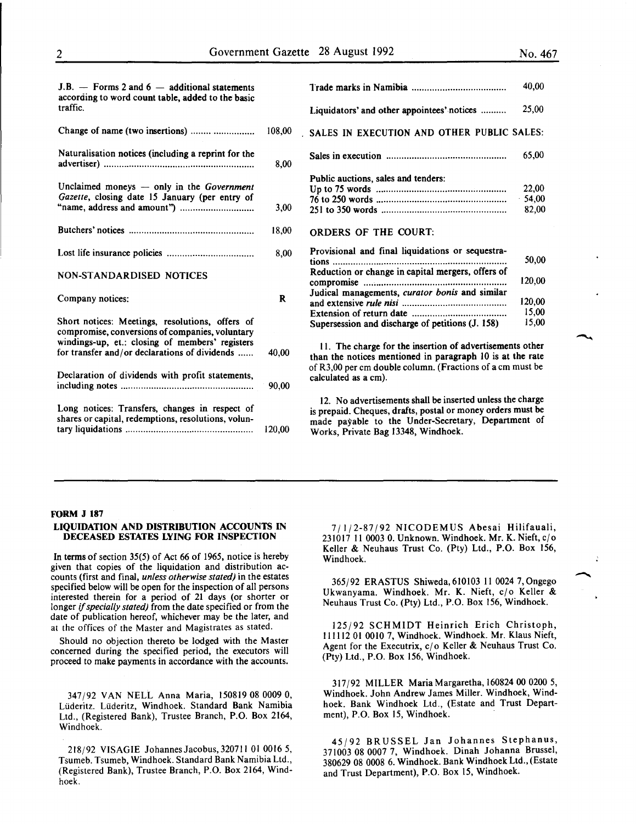| $J.B.$ - Forms 2 and $6$ - additional statements<br>according to word count table, added to the basic                                                 |        | T              |
|-------------------------------------------------------------------------------------------------------------------------------------------------------|--------|----------------|
| traffic.                                                                                                                                              |        | L              |
| Change of name (two insertions)                                                                                                                       | 108,00 | S.             |
| Naturalisation notices (including a reprint for the                                                                                                   | 8,00   | S              |
| Unclaimed moneys - only in the Government<br>Gazette, closing date 15 January (per entry of                                                           |        | P<br>U<br>71   |
|                                                                                                                                                       | 3,00   | $\overline{2}$ |
|                                                                                                                                                       | 18,00  | O              |
|                                                                                                                                                       | 8,00   | P<br>ti        |
| <b>NON-STANDARDISED NOTICES</b>                                                                                                                       |        | R<br>C)        |
| Company notices:                                                                                                                                      | R      | J<br>a.        |
|                                                                                                                                                       |        | Е              |
| Short notices: Meetings, resolutions, offers of<br>compromise, conversions of companies, voluntary<br>windings-up, et.: closing of members' registers |        | S              |
| for transfer and/or declarations of dividends                                                                                                         | 40,00  | tl             |
| Declaration of dividends with profit statements,                                                                                                      | 90,00  | оí<br>C        |
| Long notices: Transfers, changes in respect of<br>shares or capital, redemptions, resolutions, volun-                                                 | 120,00 | is<br>π<br>V   |

|                                                                                   | 40,00                      |
|-----------------------------------------------------------------------------------|----------------------------|
| Liquidators' and other appointees' notices                                        | 25,00                      |
| SALES IN EXECUTION AND OTHER PUBLIC SALES:                                        |                            |
|                                                                                   | 65,00                      |
| Public auctions, sales and tenders:                                               | 22,00<br>$-54.00$<br>82,00 |
| ORDERS OF THE COURT:<br>Provisional and final liquidations or sequestra-<br>tions | 50,00                      |
| Reduction or change in capital mergers, offers of                                 | 120,00                     |
| Judical managements, curator bonis and similar                                    | 120,00<br>15,00            |
| Supersession and discharge of petitions (J. 158)                                  | 15,00                      |

11. The charge for the insertion of advertisements other han the notices mentioned in paragraph 10 is at the rate f R3,00 per cm double column. (Fractions of a cm must be alculated as a cm).

12. No advertisements shall be inserted unless the charge prepaid. Cheques, drafts, postal or money orders must be nade payable to the Under-Secretary, Department of Works, Private Bag 13348, Windhoek.

#### FORM J 187

#### LIQUIDATION AND DISTRIBUTION ACCOUNTS IN DECEASED ESTATES LYING FOR INSPECTION

In terms of section 35(5) of Act 66 of 1965, notice is hereby given that copies of the liquidation and distribution accounts (first and final, *unless otherwise stated)* in the estates specified below will be open for the inspection of all persons interested therein for a period of 21 days (or shorter or longer if *specially stated)* from the date specified or from the date of publication hereof, whichever may be the later, and at the offices of the Master and Magistrates as stated.

Should no objection thereto be lodged with the Master concerned during the specified period, the executors will proceed to make payments in accordance with the accounts.

34 7/92 VAN NELL Anna Maria, 150819 08 0009 0, Liideritz. Liideritz, Windhoek. Standard Bank Namibia Ltd., (Registered Bank), Trustee Branch, P.O. Box 2164, Windhoek.

218/92 VISAGIE Johannes Jacobus, 320711 01 0016 5, Tsumeb. Tsumeb, Windhoek. Standard Bank Namibia Ltd., (Registered Bank), Trustee Branch, P.O. Box 2164, Windhoek.

7/1/2-87/92 NICODEMUS Abesai Hilifauali, 231017 11 0003 0. Unknown. Windhoek. Mr. K. Nieft,  $c/\sigma$ Keller & Neuhaus Trust Co. (Pty) Ltd., P.O. Box 156, Windhoek.

365/92 ERASTUS Shiweda, 610103 II 0024 7, Ongego Ukwanyama. Windhoek. Mr. K. Nieft, c/o Keller & Neuhaus Trust Co. (Pty) Ltd., P.O. Box 156, Windhoek.

125/92 SCHMIDT Heinrich Erich Christoph, 111112 01 0010 7, Windhoek. Windhoek. Mr. Klaus Nieft, Agent for the Executrix,  $c/o$  Keller & Neuhaus Trust Co. (Pty) Ltd., P.O. Box 156, Windhoek.

317/92 MILLER MariaMargaretha, 160824 00 0200 5, Windhoek. John Andrew James Miller. Windhoek, Windhoek. Bank Windhoek Ltd., (Estate and Trust Department), P.O. Box 15, Windhoek.

45/92 BRUSSEL Jan Johannes Stephanus, 371003 08 0007 7, Windhoek. Dinah Johanna Brussel, 380629 08 0008 6. Windhoek. Bank Windhoek Ltd., (Estate and Trust Department), P.O. Box 15, Windhoek.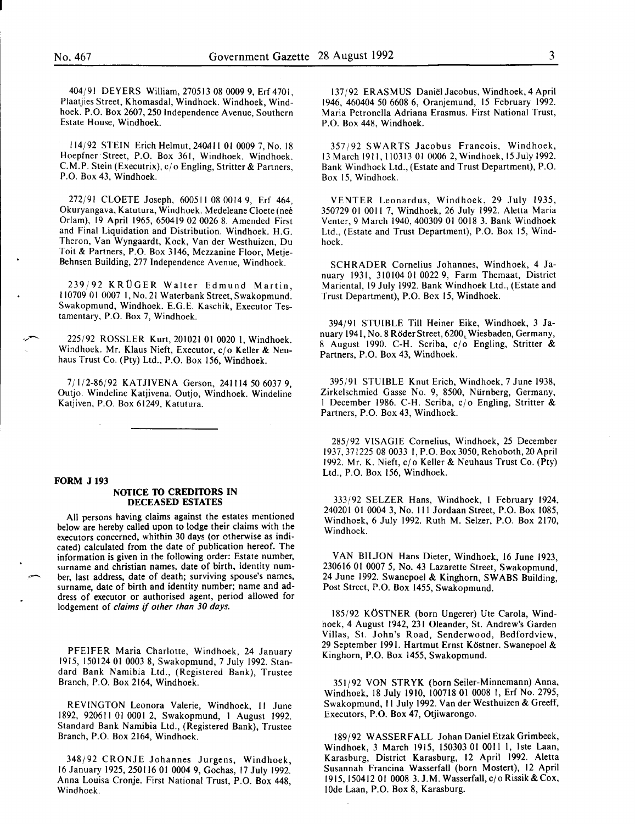404/91 DEYERS William, 270513 08 0009 9, Erf4701, Plaatjies Street, Khomasdal, Windhoek. Windhoek, Windhoek. P.O. Box 2607, 250 Independence Avenue, Southern Estate House, Windhoek.

114/92 STEIN Erich Helmut, 240AII 01 0009 7, No. 18 Hoepfner· Street, P.O. Box 361, Windhoek. Windhoek. C.M.P. Stein (Executrix), c/o Engling, Stritter & Partners, P.O. Box 43, Windhoek.

272/91 CLOETE Joseph, 600511 08 0014 9, Erf 464, Okuryangava, Katutura, Windhoek. Medeleane Cloete (nee Orlam), 19 April 1965, 650419 02 0026 8. Amended First and Final Liquidation and Distribution. Windhoek. H.G. Theron, Van Wyngaardt, Kock, Van der Westhuizen, Du Toit & Partners, P.O. Box 3146, Mezzanine Floor, Metje-Behnsen Building, 277 Independence Avenue, Windhoek.

239/92 KROGER Walter Edmund Martin, 110709 01 0007 I, No. 21 Waterbank Street, Swakopmund. Swakopmund, Windhoek. E.G.E. Kaschik, Executor Testamentary, P.O. Box 7, Windhoek.

225/92 ROSSLER Kurt, 201021 01 0020 I, Windhoek. Windhoek. Mr. Klaus Nieft, Executor, c/o Keller & Neuhaus Trust Co. (Pty) Ltd., P.O. Box 156, Windhoek.

7/1/2-86/92 KATJIVENA Gerson, 2411145060379, Outjo. Windeline Katjivena. Outjo, Windhoek. Windeline Katjiven, P.O. Box 61249, Katutura.

#### **FORM J 193**

#### **NOTICE TO CREDITORS IN DECEASED ESTATES**

All persons having claims against the estates mentioned below are hereby called upon to lodge their claims with the executors concerned, whithin 30 days (or otherwise as indicated) calculated from the date of publication hereof. The information is given in the following order: Estate number, surname and christian names, date of birth, identity num ber, last address, date of death; surviving spouse's names, surname, date of birth and identity number; name and address of executor or authorised agent, period allowed for lodgement of *claims* if *other than 30 days.* 

PFEIFER Maria Charlotte, Windhoek, 24 January 1915, 150124 01 0003 8, Swakopmund, 7 July 1992. Standard Bank Namibia Ltd., (Registered Bank), Trustee Branch, P.O. Box 2164, Windhoek.

REVINGTON Leonora Valerie, Windhoek, II June 1892, 920611 01 0001 2, Swakopmund, I August 1992. Standard Bank Namibia Ltd., (Registered Bank), Trustee Branch, P.O. Box 2164, Windhoek.

348/92 CRONJE Johannes Jurgens, Windhoek, 16 January 1925, 250116 01 0004 9, Gochas, 17 July 1992. Anna Louisa Cronje. First National Trust, P.O. Box 448, Windhoek.

137/92 ERASMUS Danie!Jacobus, Windhoek, 4 April 1946, 460404 50 6608 6, Oranjemund, 15 February 1992. Maria Petronella Adriana Erasmus. First National Trust, P.O. Box 448, Windhoek.

357/92 SWARTS Jacobus Francois, Windhoek, 13 March 1911, 110313 01 0006 2, Windhoek, 15July 1992. Bank Windhoek Ltd., (Estate and Trust Department), P.O. Box 15, Windhoek.

VENTER Leonardus, Windhoek, 29 July 1935, 350729 01 0011 7, Windhoek, 26 July 1992. Aletta Maria Venter, 9 March 1940, 400309 01 0018 3. Bank Windhoek Ltd., (Estate and Trust Department), P.O. Box 15, Windhoek.

SCHRADER Cornelius Johannes, Windhoek, 4 January 1931, 310104 01 0022 9, Farm Themaat, District Mariental, 19 July 1992. Bank Windhoek Ltd., (Estate and Trust Department), P.O. Box 15, Windhoek.

394/91 STUIBLE Till Heiner Eike, Windhoek, 3 January 1941, No. 8 Röder Street, 6200, Wiesbaden, Germany, 8 August 1990. C-H. Scriba, c/o Engling, Stritter & Partners, P.O. Box 43, Windhoek.

395/91 STUIBLE Knut Erich, Windhoek, 7 June 1938, Zirkelschmied Gasse No. 9, 8500, Niirnberg, Germany, 1 December 1986. C-H. Scriba,  $c/o$  Engling, Stritter & Partners, P.O. Box 43, Windhoek.

285/92 VISAGIE Cornelius, Windhoek, 25 December 1937,371225 08 0033 I, P.O. Box 3050, Rehoboth, 20 April 1992. Mr. K. Nieft, cj o Keller & Neuhaus Trust Co. (Pty) Ltd., P.O. Box 156, Windhoek.

333/92 SELZER Hans, Windhoek, I February 1924, 240201 01 0004 3, No. Ill Jordaan Street, P.O. Box 1085, Windhoek, 6 July 1992. Ruth M. Selzer, P.O. Box 2170, Windhoek.

VAN BILJON Hans Dieter, Windhoek, 16 June 1923, 230616 01 0007 5, No. 43 Lazarette Street, Swakopmund, 24 June 1992. Swanepoel & Kinghorn, SWABS Building, Post Street, P.O. Box 1455, Swakopmund.

185/92 KÖSTNER (born Ungerer) Ute Carola, Windhoek, 4 August 1942, 231 Oleander, St. Andrew's Garden Villas, St. John's Road, Senderwood, Bedfordview, 29 September 1991. Hartmut Ernst Köstner. Swanepoel & Kinghorn, P.O. Box 1455, Swakopmund.

351/92 VON STRYK (born Seiler-Minnemann) Anna, Windhoek, 18 July 1910, 100718 01 0008 I, Erf No. 2795, Swakopmund, II July 1992. Vander Westhuizen & Greeff, Executors, P.O. Box 47, Otjiwarongo.

189/92 WASSERFALL Johan Daniel Etzak Grimbeek, Windhoek, 3 March 1915, 150303 01 0011 1, 1ste Laan, Karasburg, District Karasburg, 12 April 1992. Aletta Susannah Francina Wasserfall (born Mostert), 12 April 1915, 150412 01 0008 3. J.M. Wasserfall, c/o Rissik & Cox, lOde Laan, P.O. Box 8, Karasburg.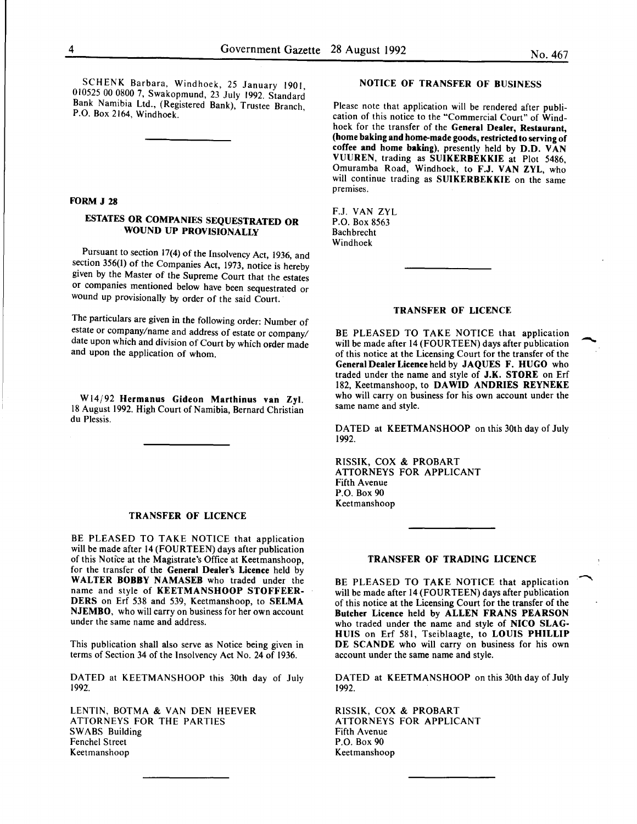SCHENK Barbara, Windhoek, 25 January 1901, 010525 00 0800 7, Swakopmund, 23 July 1992. Standard Bank Namibia Ltd., (Registered Bank), Trustee Branch, P.O. Box 2164, Windhoek.

#### FORM J 28

#### ESTATES OR COMPANIES SEQUESTRATED OR WOUND UP PROVISIONALLY

Pursuant to section 17(4) of the Insolvency Act, 1936, and section 356(1) of the Companies Act, 1973, notice is hereby given by the Master of the Supreme Court that the estates or companies mentioned below have been sequestrated or wound up provisionally by order of the said Court.

The particulars are given in the following order: Number of estate or company/name and address of estate or company/ date upon which and division of Court by which order made and upon the application of whom.

W14/92 Hermanus Gideon Marthinus van Zyl. 18 August 1992. High Court of Namibia, Bernard Christian du Plessis.

#### TRANSFER OF LICENCE

BE PLEASED TO TAKE NOTICE that application will be made after 14 (FOURTEEN) days after publication of this Notice at the Magistrate's Office at Keetmanshoop, for the transfer of the General Dealer's Licence held by WALTER BOBBY NAMASEB who traded under the name and style of KEETMANSHOOP STOFFEER-DERS on Erf 538 and 539, Keetmanshoop, to SELMA NJEMBO, who will carry on business for her own account under the same name and address.

This publication shall also serve as Notice being given in terms of Section 34 of the Insolvency Act No. 24 of 1936.

DATED at KEETMANSHOOP this 30th day of July 1992.

LENTIN, BOTMA & VAN DEN HEEVER ATTORNEYS FOR THE PARTIES SWABS Building Fenchel Street Keetmanshoop

#### NOTICE OF TRANSFER OF BUSINESS

Please note that application will be rendered after publication of this notice to the "Commercial Court" of Windhoek for the transfer of the General Dealer, Restaurant, (home baking and home-made goods, restricted to serving of coffee and home baking), presently held by D.D. VAN VUUREN, trading as SUIKERBEKKIE at Plot 5486, Omuramba Road, Windhoek, to F.J. VAN ZYL, who will continue trading as SUIKERBEKKIE on the same premises.

F.J. VAN ZYL P.O. Box 8563 Bachbrecht Windhoek

#### TRANSFER OF LICENCE

BE PLEASED TO TAKE NOTICE that application will be made after 14 (FOURTEEN) days after publication of this notice at the Licensing Court for the transfer of the General Dealer Licence held by JAQUES F. HUGO who traded under the name and style of J.K. STORE on Erf 182, Keetmanshoop, to DAWID ANDRIES REYNEKE who will carry on business for his own account under the same name and style.

DATED at KEETMANSHOOP on this 30th day of July 1992.

RISSIK, COX & PROBART A TIORNEYS FOR APPLICANT Fifth Avenue P.O. Box 90 Keetmanshoop

#### TRANSFER OF TRADING LICENCE

BE PLEASED TO TAKE NOTICE that application will be made after 14 (FOURTEEN) days after publication of this notice at the Licensing Court for the transfer of the Butcher Licence held by ALLEN FRANS PEARSON who traded under the name and style of NICO SLAG-HUIS on Erf 581, Tseiblaagte, to LOUIS PHILLIP DE SCANDE who will carry on business for his own account under the same name and style.

DATED at KEETMANSHOOP on this 30th day of July 1992.

RISSIK, COX & PROBART ATTORNEYS FOR APPLICANT Fifth Avenue P.O. Box 90 Keetmanshoop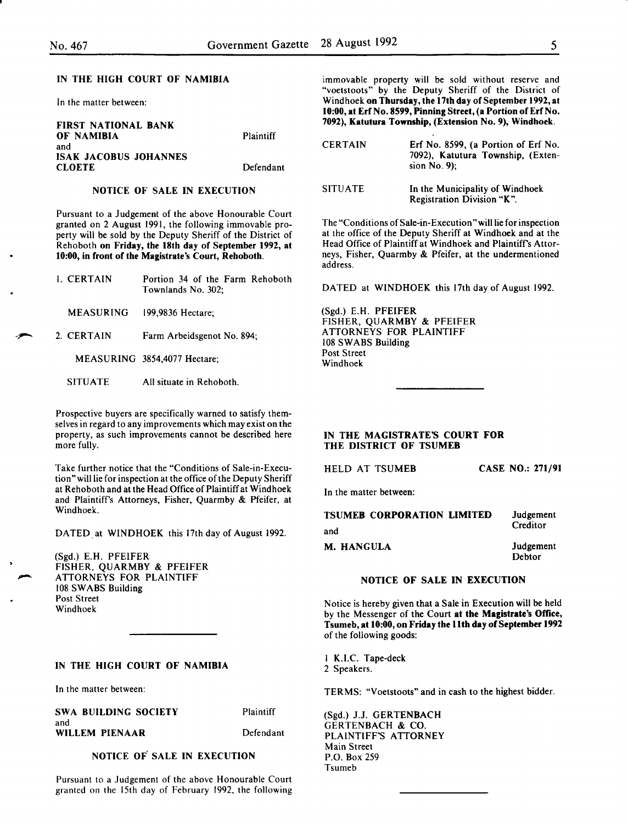#### IN THE HIGH COURT OF NAMIBIA

In the matter between:

| <b>FIRST NATIONAL BANK</b>   |           |
|------------------------------|-----------|
| OF NAMIBIA                   | Plaintiff |
| and                          |           |
| <b>ISAK JACOBUS JOHANNES</b> |           |
| <b>CLOETE</b>                | Defendant |

#### NOTICE OF SALE IN EXECUTION

Pursuant to a Judgement of the above Honourable Court granted on 2 August 1991, the following immovable property will be sold by the Deputy Sheriff of the District of Rehoboth on Friday, the 18th day of September 1992, at 10:00, in front of the Magistrate's Court, Rehoboth.

| 1. CERTAIN | Portion 34 of the Farm Rehoboth |
|------------|---------------------------------|
|            | Townlands No. 302:              |
|            |                                 |

- MEASURING 199,9836 Hectare;
- 2. CERTAIN Farm Arbeidsgenot No. 894;
	- MEASURING 3854,4077 Hectare;
	- SITUATE All situate in Rehoboth.

Prospective buyers are specifically warned to satisfy themselves in regard to any improvements which may exist on the property, as such improvements cannot be described here more fully.

Take further notice that the "Conditions of Sale-in-Execution" will lie for inspection at the office of the Deputy Sheriff at Rehoboth and at the Head Office of Plaintiff at Windhoek and Plaintiffs Attorneys, Fisher, Quarmby & Pfeifer, at Windhoek.

DATED at WINDHOEK this 17th day of August 1992.

(Sgd.) E.H. PFEIFER FISHER, QUARMBY & PFEIFER ATTORNEYS FOR PLAINTIFF 108 SWABS Building Post Street Windhoek

#### IN THE HIGH COURT OF NAMIBIA

In the matter between:

SWA BUILDING SOCIETY and WILLEM PIENAAR

Defendant

Plaintiff

#### NOTICE OF SALE IN EXECUTION

Pursuant to a Judgement of the above Honourable Court granted on the 15th day of February 1992, the following immovable property will be sold without reserve and "voetstoots" by the Deputy Sheriff of the District of Windhoek on Thursday, the 17th day of September 1992, at 10:00, at Erf No. 8599, Pinning Street, (a Portion of Erf No. 7092), Katutura Township, (Extension No. 9), Windhoek.

| <b>CERTAIN</b> | Erf No. 8599, (a Portion of Erf No.<br>7092), Katutura Township, (Exten-<br>sion $No. 9$ : |
|----------------|--------------------------------------------------------------------------------------------|
| <b>SITUATE</b> | In the Municipality of Windhoek<br>Registration Division "K".                              |

The "Conditions of Sale-in-Execution "will lie for inspection at the office of the Deputy Sheriff at Windhoek and at the Head Office of Plaintiff at Windhoek and Plaintiffs Attorneys, Fisher, Quarmby & Pfeifer, at the undermentioned address.

DATED at WINDHOEK this 17th day of August 1992.

(Sgd.) E.H. PFEIFER FISHER, QUARMBY & PFEIFER ATTORNEYS FOR PLAINTIFF 108 SWABS Building Post Street Windhoek

#### IN THE MAGISTRATE'S COURT FOR THE DISTRICT OF TSUMEB

HELD AT TSUMEB CASE NO.: 271/91

In the matter between:

| <b>TSUMER CORPORATION LIMITED</b> | Judgement<br>Creditor |
|-----------------------------------|-----------------------|
| and                               |                       |
| M. HANGULA                        | Judgement<br>Debtor   |

#### NOTICE OF SALE IN EXECUTION

Notice is hereby given that a Sale in Execution will be held by the Messenger of the Court at the Magistrate's Office, Tsumeb, at 10:00, on Friday the 11th day of September 1992 of the following goods:

I K.I.C. Tape-deck 2 Speakers.

TERMS: "Voetstoots" and in cash to the highest bidder.

(Sgd.) J.J. GERTENBACH GERTENBACH & CO. PLAINTIFF'S ATTORNEY Main Street P.O. Box 259 Tsumeb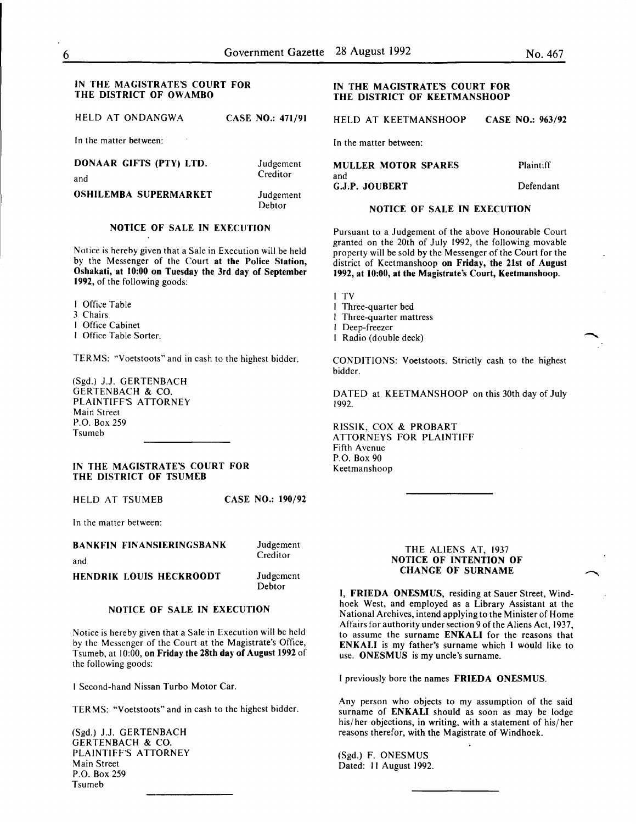#### IN THE MAGISTRATE'S COURT FOR THE DISTRICT OF OWAMBO

HELD AT ONDANGWA CASE NO.: 471/91

In the matter between:

| DONAAR GIFTS (PTY) LTD.      | Judgement           |
|------------------------------|---------------------|
| and                          | Creditor            |
| <b>OSHILEMBA SUPERMARKET</b> | Judgement<br>Dehtor |

### NOTICE OF SALE IN EXECUTION

Notice is hereby given that a Sale in Execution will be held by the Messenger of the Court at the Police Station, Oshakati, at 10:00 on Tuesday the 3rd day of September 1992, of the following goods:

I Office Table

- 3 Chairs
- I Office Cabinet
- I Office Table Sorter.

TERMS: "Voetstoots" and in cash to the highest bidder.

(Sgd.) J.J. GERTENBACH GERTENBACH & CO. PLAINTIFF'S ATTORNEY Main Street P.O. Box 259 Tsumeb

#### IN THE MAGISTRATE'S COURT FOR THE DISTRICT OF TSUMEB

HELD AT TSUMEB CASE NO.: 190/92

In the matter between:

#### BANKFIN FINANSIERINGSBANK

and

#### HENDRIK LOUIS HECKROODT **Judgement** Debtor

#### NOTICE OF SALE IN EXECUTION

Notice is hereby given that a Sale in Execution will be held by the Messenger of the Court at the Magistrate's Office, Tsumeb, at 10:00, on Friday the 28th day of August 1992 of the following goods:

I Second-hand Nissan Turbo Motor Car.

TERMS: "Voetstoots" and in cash to the highest bidder.

(Sgd.) J.J. GERTENBACH GERTENBACH & CO. PLAINTIFF'S ATTORNEY Main Street P.O. Box 259 Tsumeb

#### IN THE MAGISTRATE'S COURT FOR THE DISTRICT OF KEETMANSHOOP

HELD AT KEETMANSHOOP CASE NO.: 963/92

In the matter between:

| MULLER MOTOR SPARES | Plaintiff |
|---------------------|-----------|
| and                 |           |
| G.J.P. JOUBERT      | Defendant |

#### NOTICE OF SALE IN EXECUTION

Pursuant to a Judgement of the above Honourable Court granted on the 20th of July 1992, the following movable property will be sold by the Messenger of the Court for the district of Keetmanshoop on Friday, the 21st of August 1992, at 10:00, at the Magistrate's Court, Keetmanshoop.

I TV

- I Three-quarter bed
- I Three-quarter mattress
- I Deep-freezer
- I Radio (double deck)

CONDITIONS: Voetstoots. Strictly cash to the highest bidder.

DATED at KEETMANSHOOP on this 30th day of July 1992.

RISSIK, COX & PROBART ATTORNEYS FOR PLAINTIFF Fifth Avenue P.O. Box 90 Keetmanshoop

#### THE ALIENS AT, 1937 NOTICE OF INTENTION OF CHANGE OF SURNAME

I, FRIEDA ONESMUS, residing at Sauer Street, Windhoek West, and employed as a Library Assistant at the National Archives, intend applying to the Minister of Home Affairs for authority under section 9 of the Aliens Act, 1937, to assume the surname ENKALI for the reasons that ENKALI is my father's surname which I would like to use. ONESMUS is my uncle's surname.

I previously bore the names FRIEDA ONESMUS.

Any person who objects to my assumption of the said surname of ENKALI should as soon as may be lodge his/ her objections, in writing, with a statement of his/ her reasons therefor, with the Magistrate of Windhoek.

(Sgd.) F. ONESMUS Dated: II August 1992.

Judgement **Creditor**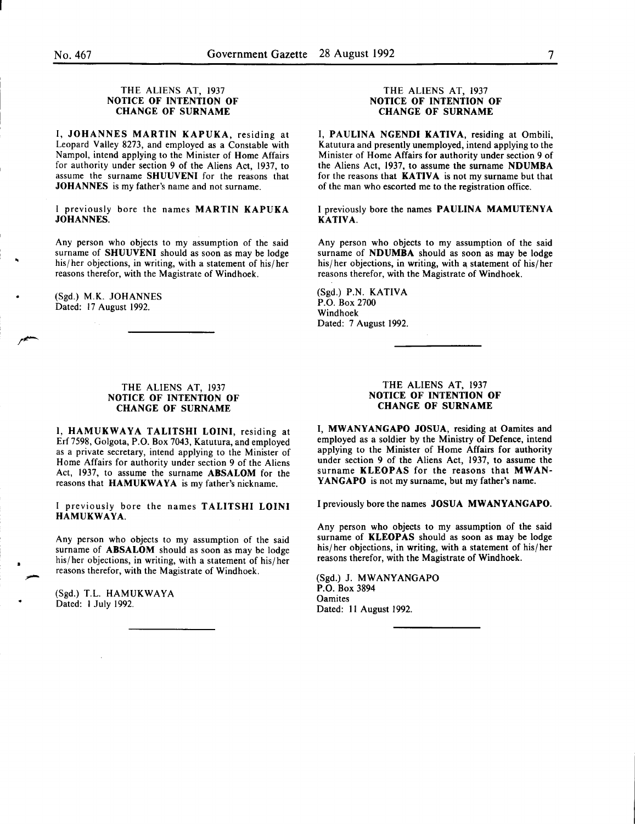#### THE ALIENS AT, 1937 NOTICE OF INTENTION OF CHANGE OF SURNAME

I, JOHANNES MARTIN KAPUKA, residing at Leopard Valley 8273, and employed as a Constable with Nampol, intend applying to the Minister of Home Affairs for authority under section 9 of the Aliens Act, 1937, to assume the surname SHUUVENI for the reasons that JOHANNES is my father's name and not surname.

I previously bore the names MARTIN KAPUKA JOHANNES.

Any person who objects to my assumption of the said surname of SHUUVENI should as soon as may be lodge his/her objections, in writing, with a statement of his/her reasons therefor, with the Magistrate of Windhoek.

(Sgd.) M.K. JOHANNES Dated: 17 August 1992.

#### THE ALIENS AT, 1937 NOTICE OF INTENTION OF CHANGE OF SURNAME

I, HAMUKWAYA TALITSHI LOINI, residing at Erf7598, Golgota, P.O. Box 7043, Katutura, and employed as a private secretary, intend applying to the Minister of Home Affairs for authority under section 9 of the Aliens Act, 1937, to assume the surname ABSALOM for the reasons that HAMUKWAYA is my father's nickname.

I previously bore the names TALITSHI LOINI HAMUKWAYA.

Any person who objects to my assumption of the said surname of **ABSALOM** should as soon as may be lodge his/her objections, in writing, with a statement of his/her reasons therefor, with the Magistrate of Windhoek.

(Sgd.) T.L. HAMUKWAYA Dated: I July 1992.

#### THE ALIENS AT, 1937 NOTICE OF INTENTION OF CHANGE OF SURNAME

I, PAULINA NGENDI KATIVA, residing at Ombili, Katutura and presently unemployed, intend applying to the Minister of Home Affairs for authority under section 9 of the Aliens Act, 1937, to assume the surname NDUMBA for the reasons that KATIVA is not my surname but that of the man who escorted me to the registration office.

I previously bore the names PAULINA MAMUTENYA KATIVA.

Any person who objects to my assumption of the said surname of NDUMBA should as soon as may be lodge his/her objections, in writing, with a statement of his/her reasons therefor, with the Magistrate of Windhoek.

(Sgd.) P.N. KATIVA P.O. Box 2700 Windhoek Dated: 7 August 1992.

#### THE ALIENS AT, 1937 NOTICE OF INTENTION OF CHANGE OF SURNAME

I, MWANYANGAPO JOSUA, residing at Oamites and employed as a soldier by the Ministry of Defence, intend applying to the Minister of Home Affairs for authority under section 9 of the Aliens Act, 1937, to assume the surname KLEOPAS for the reasons that MWAN-YANGAPO is not my surname, but my father's name.

I previously bore the names JOSUA MWANYANGAPO.

Any person who objects to my assumption of the said surname of KLEOPAS should as soon as may be lodge his/ her objections, in writing, with a statement of his/ her reasons therefor, with the Magistrate of Windhoek.

(Sgd.) J. MWANYANGAPO P.O. Box 3894 **Oamites** Dated: II August 1992.